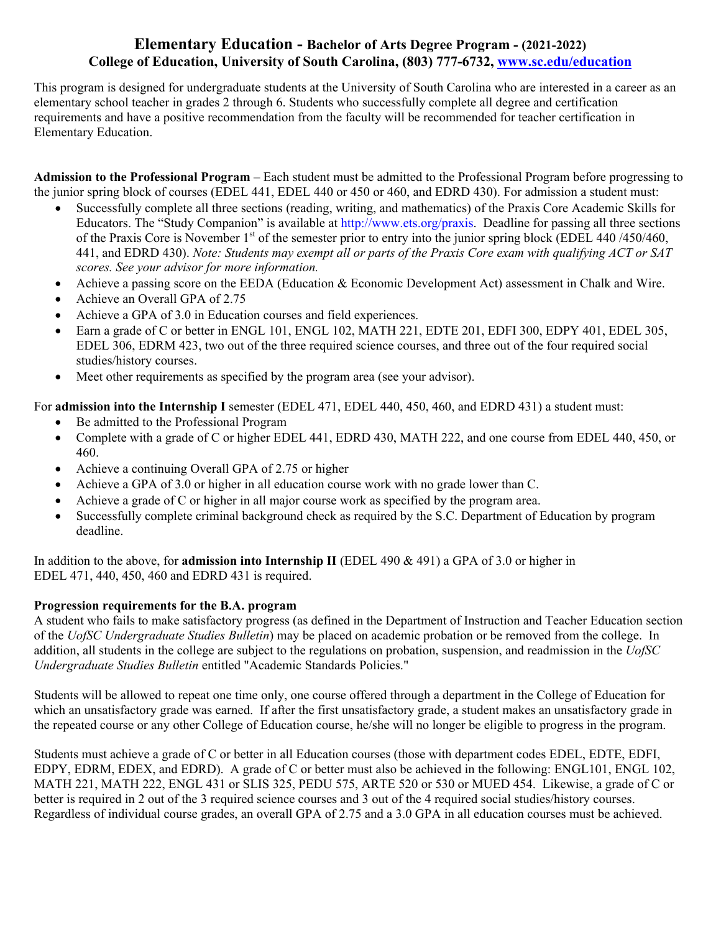## **College of Education, University of South Carolina, (803) 777-6732, <www.sc.edu/education>Elementary Education - Bachelor of Arts Degree Program - (2021-2022)**

This program is designed for undergraduate students at the University of South Carolina who are interested in a career as an elementary school teacher in grades 2 through 6. Students who successfully complete all degree and certification requirements and have a positive recommendation from the faculty will be recommended for teacher certification in Elementary Education.

**Admission to the Professional Program** – Each student must be admitted to the Professional Program before progressing to the junior spring block of courses (EDEL 441, EDEL 440 or 450 or 460, and EDRD 430). For admission a student must:

- Successfully complete all three sections (reading, writing, and mathematics) of the Praxis Core Academic Skills for Educators. The "Study Companion" is available at <http://www.ets.org/praxis>. Deadline for passing all three sections of the Praxis Core is November  $1<sup>st</sup>$  of the semester prior to entry into the junior spring block (EDEL 440/450/460, 441, and EDRD 430). *Note: Students may exempt all or parts of the Praxis Core exam with qualifying ACT or SAT scores. See your advisor for more information.*
- Achieve a passing score on the EEDA (Education & Economic Development Act) assessment in Chalk and Wire.
- Achieve an Overall GPA of 2.75
- Achieve a GPA of 3.0 in Education courses and field experiences.
- Earn a grade of C or better in ENGL 101, ENGL 102, MATH 221, EDTE 201, EDFI 300, EDPY 401, EDEL 305, EDEL 306, EDRM 423, two out of the three required science courses, and three out of the four required social studies/history courses.
- Meet other requirements as specified by the program area (see your advisor).

For **admission into the Internship I** semester (EDEL 471, EDEL 440, 450, 460, and EDRD 431) a student must:

- Be admitted to the Professional Program
- Complete with a grade of C or higher EDEL 441, EDRD 430, MATH 222, and one course from EDEL 440, 450, or 460.
- Achieve a continuing Overall GPA of 2.75 or higher
- Achieve a GPA of 3.0 or higher in all education course work with no grade lower than C.
- Achieve a grade of C or higher in all major course work as specified by the program area.
- Successfully complete criminal background check as required by the S.C. Department of Education by program deadline.

In addition to the above, for **admission into Internship II** (EDEL 490 & 491) a GPA of 3.0 or higher in EDEL 471, 440, 450, 460 and EDRD 431 is required.

## **Progression requirements for the B.A. program**

A student who fails to make satisfactory progress (as defined in the Department of Instruction and Teacher Education section of the *UofSC Undergraduate Studies Bulletin*) may be placed on academic probation or be removed from the college. In addition, all students in the college are subject to the regulations on probation, suspension, and readmission in the *UofSC Undergraduate Studies Bulletin* entitled "Academic Standards Policies."

Students will be allowed to repeat one time only, one course offered through a department in the College of Education for which an unsatisfactory grade was earned. If after the first unsatisfactory grade, a student makes an unsatisfactory grade in the repeated course or any other College of Education course, he/she will no longer be eligible to progress in the program.

Students must achieve a grade of C or better in all Education courses (those with department codes EDEL, EDTE, EDFI, EDPY, EDRM, EDEX, and EDRD). A grade of C or better must also be achieved in the following: ENGL101, ENGL 102, MATH 221, MATH 222, ENGL 431 or SLIS 325, PEDU 575, ARTE 520 or 530 or MUED 454. Likewise, a grade of C or better is required in 2 out of the 3 required science courses and 3 out of the 4 required social studies/history courses. Regardless of individual course grades, an overall GPA of 2.75 and a 3.0 GPA in all education courses must be achieved.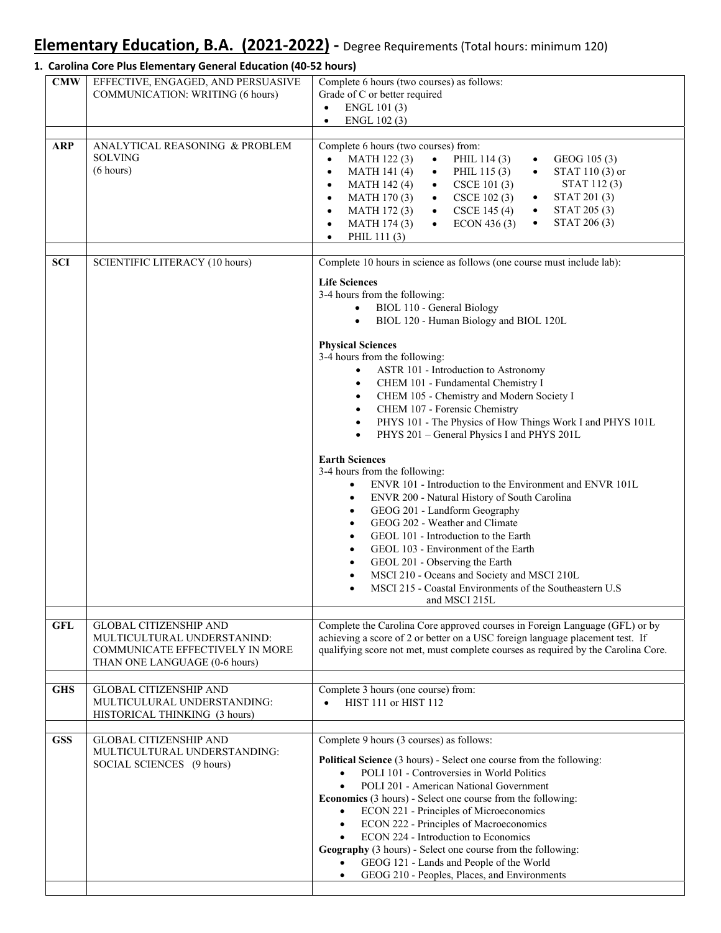# **Elementary Education, B.A. (2021‐2022) ‐** Degree Requirements (Total hours: minimum 120)

### **1. Carolina Core Plus Elementary General Education (40‐52 hours)**

| <b>CMW</b> | EFFECTIVE, ENGAGED, AND PERSUASIVE<br><b>COMMUNICATION: WRITING (6 hours)</b>                                                    | Complete 6 hours (two courses) as follows:<br>Grade of C or better required<br>ENGL 101 (3)<br>$\bullet$<br>ENGL 102 (3)<br>$\bullet$                                                                                                                                                                                                                                                                                                                                                                                                                                                                                                                                                                                                                                                                                                                                                                                                                                                                                                                                                                                                                                                                               |
|------------|----------------------------------------------------------------------------------------------------------------------------------|---------------------------------------------------------------------------------------------------------------------------------------------------------------------------------------------------------------------------------------------------------------------------------------------------------------------------------------------------------------------------------------------------------------------------------------------------------------------------------------------------------------------------------------------------------------------------------------------------------------------------------------------------------------------------------------------------------------------------------------------------------------------------------------------------------------------------------------------------------------------------------------------------------------------------------------------------------------------------------------------------------------------------------------------------------------------------------------------------------------------------------------------------------------------------------------------------------------------|
| <b>ARP</b> | ANALYTICAL REASONING & PROBLEM<br><b>SOLVING</b><br>(6 hours)                                                                    | Complete 6 hours (two courses) from:<br>MATH 122(3)<br>PHIL 114 (3)<br>GEOG 105 (3)<br>$\bullet$<br>$\bullet$<br>$\bullet$<br>PHIL 115 (3)<br>STAT 110 (3) or<br>MATH 141 (4)<br>$\bullet$<br>$\bullet$<br>$\bullet$<br>STAT 112(3)<br>CSCE 101 (3)<br>MATH 142 (4)<br>$\bullet$<br>$\bullet$<br>STAT 201 (3)<br><b>MATH 170 (3)</b><br>CSCE 102 (3)<br>$\bullet$<br>$\bullet$<br>$\bullet$<br>STAT 205 (3)<br>$CSCE$ 145 (4)<br>$\bullet$<br>MATH 172(3)<br>$\bullet$<br>$\bullet$<br>STAT 206 (3)<br>ECON 436 (3)<br>MATH 174 (3)<br>$\bullet$<br>$\bullet$<br>$\bullet$<br>PHIL 111 (3)<br>$\bullet$                                                                                                                                                                                                                                                                                                                                                                                                                                                                                                                                                                                                             |
| <b>SCI</b> | <b>SCIENTIFIC LITERACY (10 hours)</b>                                                                                            | Complete 10 hours in science as follows (one course must include lab):<br><b>Life Sciences</b><br>3-4 hours from the following:<br>BIOL 110 - General Biology<br>$\bullet$<br>BIOL 120 - Human Biology and BIOL 120L<br>$\bullet$<br><b>Physical Sciences</b><br>3-4 hours from the following:<br>ASTR 101 - Introduction to Astronomy<br>CHEM 101 - Fundamental Chemistry I<br>٠<br>CHEM 105 - Chemistry and Modern Society I<br>$\bullet$<br>CHEM 107 - Forensic Chemistry<br>$\bullet$<br>PHYS 101 - The Physics of How Things Work I and PHYS 101L<br>$\bullet$<br>PHYS 201 - General Physics I and PHYS 201L<br>$\bullet$<br><b>Earth Sciences</b><br>3-4 hours from the following:<br>ENVR 101 - Introduction to the Environment and ENVR 101L<br>$\bullet$<br>ENVR 200 - Natural History of South Carolina<br>$\bullet$<br>GEOG 201 - Landform Geography<br>$\bullet$<br>GEOG 202 - Weather and Climate<br>$\bullet$<br>GEOL 101 - Introduction to the Earth<br>$\bullet$<br>GEOL 103 - Environment of the Earth<br>$\bullet$<br>GEOL 201 - Observing the Earth<br>$\bullet$<br>MSCI 210 - Oceans and Society and MSCI 210L<br>MSCI 215 - Coastal Environments of the Southeastern U.S<br>٠<br>and MSCI 215L |
| <b>GFL</b> | <b>GLOBAL CITIZENSHIP AND</b><br>MULTICULTURAL UNDERSTANIND:<br>COMMUNICATE EFFECTIVELY IN MORE<br>THAN ONE LANGUAGE (0-6 hours) | Complete the Carolina Core approved courses in Foreign Language (GFL) or by<br>achieving a score of 2 or better on a USC foreign language placement test. If<br>qualifying score not met, must complete courses as required by the Carolina Core.                                                                                                                                                                                                                                                                                                                                                                                                                                                                                                                                                                                                                                                                                                                                                                                                                                                                                                                                                                   |
| <b>GHS</b> | <b>GLOBAL CITIZENSHIP AND</b><br>MULTICULURAL UNDERSTANDING:<br>HISTORICAL THINKING (3 hours)                                    | Complete 3 hours (one course) from:<br>HIST 111 or HIST 112                                                                                                                                                                                                                                                                                                                                                                                                                                                                                                                                                                                                                                                                                                                                                                                                                                                                                                                                                                                                                                                                                                                                                         |
| <b>GSS</b> | <b>GLOBAL CITIZENSHIP AND</b><br>MULTICULTURAL UNDERSTANDING:<br>SOCIAL SCIENCES (9 hours)                                       | Complete 9 hours (3 courses) as follows:<br>Political Science (3 hours) - Select one course from the following:<br>POLI 101 - Controversies in World Politics<br>$\bullet$<br>POLI 201 - American National Government<br><b>Economics</b> (3 hours) - Select one course from the following:<br>ECON 221 - Principles of Microeconomics<br>$\bullet$<br>ECON 222 - Principles of Macroeconomics<br>$\bullet$<br>ECON 224 - Introduction to Economics<br>Geography (3 hours) - Select one course from the following:<br>GEOG 121 - Lands and People of the World<br>GEOG 210 - Peoples, Places, and Environments<br>$\bullet$                                                                                                                                                                                                                                                                                                                                                                                                                                                                                                                                                                                         |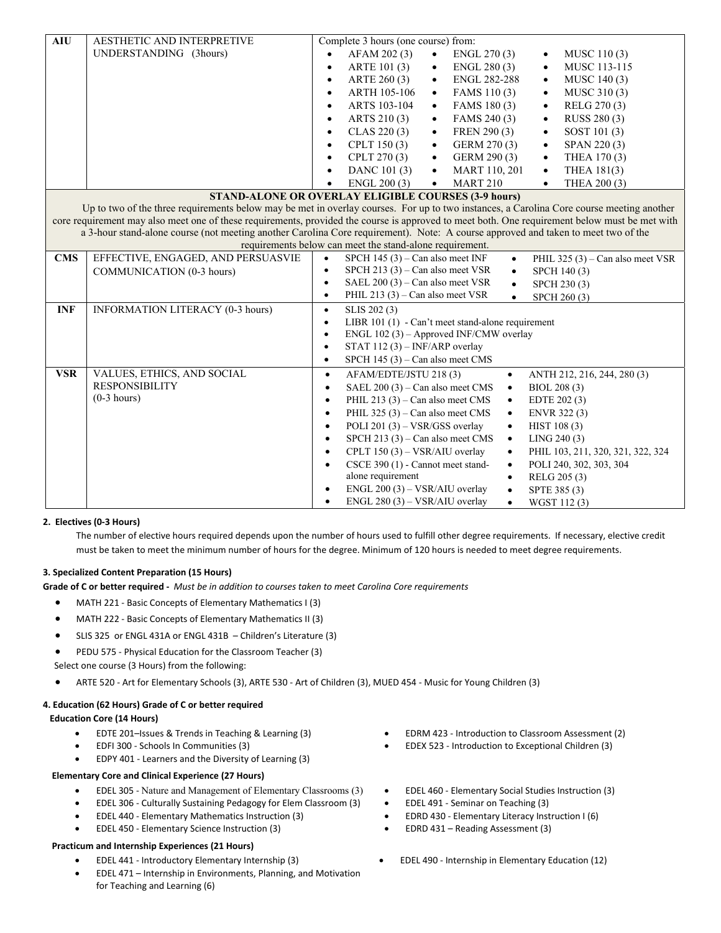| <b>AIU</b>                                                                                                                               | AESTHETIC AND INTERPRETIVE         | Complete 3 hours (one course) from:                                                                                                            |  |  |
|------------------------------------------------------------------------------------------------------------------------------------------|------------------------------------|------------------------------------------------------------------------------------------------------------------------------------------------|--|--|
|                                                                                                                                          | UNDERSTANDING (3hours)             | AFAM 202 (3)<br>ENGL 270 (3)<br>$\bullet$<br>MUSC 110(3)                                                                                       |  |  |
|                                                                                                                                          |                                    | ARTE 101 (3)<br>ENGL 280 (3)<br>MUSC 113-115<br>$\bullet$<br>$\bullet$<br>$\bullet$                                                            |  |  |
|                                                                                                                                          |                                    | ARTE 260 (3)<br><b>ENGL 282-288</b><br>MUSC 140 (3)<br>$\bullet$<br>$\bullet$<br>$\bullet$                                                     |  |  |
|                                                                                                                                          |                                    | ARTH 105-106<br>FAMS 110(3)<br>MUSC 310 (3)<br>$\bullet$<br>$\bullet$<br>$\bullet$                                                             |  |  |
|                                                                                                                                          |                                    | ARTS 103-104<br>FAMS 180 (3)<br>RELG 270 (3)<br>$\bullet$<br>$\bullet$<br>$\bullet$                                                            |  |  |
|                                                                                                                                          |                                    | ARTS 210 (3)<br>FAMS 240 (3)<br>RUSS 280 (3)<br>$\bullet$<br>$\bullet$<br>$\bullet$                                                            |  |  |
|                                                                                                                                          |                                    | CLAS 220(3)<br>FREN 290 (3)<br>SOST 101 (3)<br>$\bullet$<br>$\bullet$<br>$\bullet$                                                             |  |  |
|                                                                                                                                          |                                    | CPLT 150 (3)<br>GERM 270 (3)<br>SPAN 220(3)<br>$\bullet$<br>$\bullet$<br>$\bullet$                                                             |  |  |
|                                                                                                                                          |                                    | CPLT 270 (3)<br>GERM 290 (3)<br>THEA 170 (3)<br>$\bullet$<br>$\bullet$<br>$\bullet$                                                            |  |  |
|                                                                                                                                          |                                    | DANC 101 (3)<br>MART 110, 201<br>THEA 181(3)<br>$\bullet$<br>$\bullet$<br>$\bullet$                                                            |  |  |
|                                                                                                                                          |                                    | ENGL 200 (3)<br><b>MART 210</b><br>THEA 200 (3)<br>$\bullet$<br>$\bullet$<br>$\bullet$                                                         |  |  |
|                                                                                                                                          |                                    | <b>STAND-ALONE OR OVERLAY ELIGIBLE COURSES (3-9 hours)</b>                                                                                     |  |  |
| Up to two of the three requirements below may be met in overlay courses. For up to two instances, a Carolina Core course meeting another |                                    |                                                                                                                                                |  |  |
|                                                                                                                                          |                                    | core requirement may also meet one of these requirements, provided the course is approved to meet both. One requirement below must be met with |  |  |
|                                                                                                                                          |                                    | a 3-hour stand-alone course (not meeting another Carolina Core requirement). Note: A course approved and taken to meet two of the              |  |  |
|                                                                                                                                          |                                    | requirements below can meet the stand-alone requirement.                                                                                       |  |  |
| <b>CMS</b>                                                                                                                               | EFFECTIVE, ENGAGED, AND PERSUASVIE | SPCH $145(3)$ – Can also meet INF<br>PHIL 325 (3) – Can also meet VSR<br>$\bullet$<br>$\bullet$                                                |  |  |
|                                                                                                                                          | <b>COMMUNICATION (0-3 hours)</b>   | SPCH 213 (3) – Can also meet VSR<br>$\bullet$<br>SPCH 140(3)<br>$\bullet$                                                                      |  |  |
|                                                                                                                                          |                                    | SAEL 200 (3) - Can also meet VSR<br>$\bullet$<br>SPCH 230 (3)<br>$\bullet$                                                                     |  |  |
|                                                                                                                                          |                                    | PHIL 213 (3) – Can also meet VSR<br>$\bullet$<br>SPCH 260 (3)<br>$\bullet$                                                                     |  |  |
| <b>INF</b>                                                                                                                               | INFORMATION LITERACY (0-3 hours)   | SLIS 202 (3)<br>$\bullet$                                                                                                                      |  |  |
|                                                                                                                                          |                                    | LIBR 101 (1) - Can't meet stand-alone requirement<br>$\bullet$                                                                                 |  |  |
|                                                                                                                                          |                                    | ENGL 102 (3) - Approved INF/CMW overlay<br>$\bullet$                                                                                           |  |  |
|                                                                                                                                          |                                    | STAT 112 $(3)$ – INF/ARP overlay<br>$\bullet$                                                                                                  |  |  |
|                                                                                                                                          |                                    | SPCH $145(3)$ – Can also meet CMS<br>$\bullet$                                                                                                 |  |  |
| <b>VSR</b>                                                                                                                               | VALUES, ETHICS, AND SOCIAL         | AFAM/EDTE/JSTU 218 (3)<br>ANTH 212, 216, 244, 280 (3)<br>$\bullet$<br>$\bullet$                                                                |  |  |
|                                                                                                                                          | <b>RESPONSIBILITY</b>              | SAEL $200(3)$ – Can also meet CMS<br>$\bullet$<br>BIOL 208 (3)<br>$\bullet$                                                                    |  |  |
|                                                                                                                                          | $(0-3$ hours)                      | PHIL 213 $(3)$ – Can also meet CMS<br>EDTE 202 (3)<br>$\bullet$<br>$\bullet$                                                                   |  |  |
|                                                                                                                                          |                                    | PHIL $325(3)$ – Can also meet CMS<br>ENVR 322 (3)<br>$\bullet$<br>$\bullet$                                                                    |  |  |
|                                                                                                                                          |                                    | POLI 201 (3) - VSR/GSS overlay<br>HIST 108 (3)<br>$\bullet$<br>$\bullet$                                                                       |  |  |
|                                                                                                                                          |                                    | SPCH 213 $(3)$ – Can also meet CMS<br>LING 240(3)<br>$\bullet$<br>$\bullet$                                                                    |  |  |
|                                                                                                                                          |                                    | CPLT 150 (3) - VSR/AIU overlay<br>PHIL 103, 211, 320, 321, 322, 324<br>$\bullet$<br>$\bullet$                                                  |  |  |
|                                                                                                                                          |                                    | CSCE 390 (1) - Cannot meet stand-<br>POLI 240, 302, 303, 304<br>$\bullet$<br>$\bullet$                                                         |  |  |
|                                                                                                                                          |                                    | alone requirement<br>RELG 205 (3)<br>$\bullet$                                                                                                 |  |  |
|                                                                                                                                          |                                    | $ENGL 200 (3) - VSR/AIU$ overlay<br>$\bullet$<br>SPTE 385 (3)<br>$\bullet$                                                                     |  |  |
|                                                                                                                                          |                                    | ENGL 280 (3) - VSR/AIU overlay<br>WGST 112(3)<br>$\bullet$<br>$\bullet$                                                                        |  |  |

#### **2. Electives (0‐3 Hours)**

 The number of elective hours required depends upon the number of hours used to fulfill other degree requirements. If necessary, elective credit must be taken to meet the minimum number of hours for the degree. Minimum of 120 hours is needed to meet degree requirements.

#### **3. Specialized Content Preparation (15 Hours)**

Grade of C or better required - Must be in addition to courses taken to meet Carolina Core requirements

- MATH 221 Basic Concepts of Elementary Mathematics I (3)
- MATH 222 ‐ Basic Concepts of Elementary Mathematics II (3)
- SLIS 325 or ENGL 431A or ENGL 431B Children's Literature (3)
- PEDU 575 Physical Education for the Classroom Teacher (3)
- Select one course (3 Hours) from the following:
	- ARTE 520 ‐ Art for Elementary Schools (3), ARTE 530 ‐ Art of Children (3), MUED 454 ‐ Music for Young Children (3)

#### **4. Education (62 Hours) Grade of C or better required**

#### **Education Core (14 Hours)**

- EDTE 201–Issues & Trends in Teaching & Learning (3)
- EDFI 300 ‐ Schools In Communities (3)
- EDPY 401 ‐ Learners and the Diversity of Learning (3)

#### **Elementary Core and Clinical Experience (27 Hours)**

- EDEL 305 ‐ Nature and Management of Elementary Classrooms (3)
- EDEL 306 Culturally Sustaining Pedagogy for Elem Classroom (3) EDEL 491 Seminar on Teaching (3)
- EDEL 440 ‐ Elementary Mathematics Instruction (3)
- EDEL 450 ‐ Elementary Science Instruction (3)

#### **Practicum and Internship Experiences (21 Hours)**

- EDEL 441 ‐ Introductory Elementary Internship (3)
- EDEL 471 Internship in Environments, Planning, and Motivation for Teaching and Learning (6)
- EDRM 423 ‐ Introduction to Classroom Assessment (2)
	- In Communities (3) **EDEX 523 Introduction to Exceptional Children (3)** 
		- EDEL 460 ‐ Elementary Social Studies Instruction (3)
		- EDEL 491 ‐ Seminar on Teaching (3)
		- Instruction (3) **•** EDRD 430 Elementary Literacy Instruction I (6)
		- Science Instruction (3) **CORD 431** Reading Assessment (3)
		- Elementary Internship (3) **•** EDEL 490 Internship in Elementary Education (12)